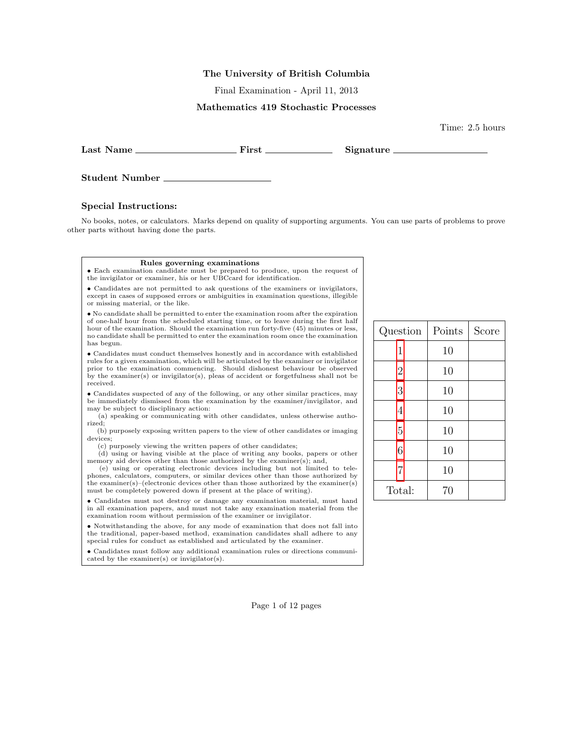#### The University of British Columbia

Final Examination - April 11, 2013

# Mathematics 419 Stochastic Processes

Last Name First Signature

Student Number

### Special Instructions:

No books, notes, or calculators. Marks depend on quality of supporting arguments. You can use parts of problems to prove other parts without having done the parts.

#### Rules governing examinations

• Each examination candidate must be prepared to produce, upon the request of the invigilator or examiner, his or her UBCcard for identification.

• Candidates are not permitted to ask questions of the examiners or invigilators, except in cases of supposed errors or ambiguities in examination questions, illegible or missing material, or the like.

• No candidate shall be permitted to enter the examination room after the expiration of one-half hour from the scheduled starting time, or to leave during the first half hour of the examination. Should the examination run forty-five (45) minutes or less, no candidate shall be permitted to enter the examination room once the examination has begun.

• Candidates must conduct themselves honestly and in accordance with established rules for a given examination, which will be articulated by the examiner or invigilator prior to the examination commencing. Should dishonest behaviour be observed by the examiner(s) or invigilator(s), pleas of accident or forgetfulness shall not be received.

• Candidates suspected of any of the following, or any other similar practices, may be immediately dismissed from the examination by the examiner/invigilator, and may be subject to disciplinary action:

(a) speaking or communicating with other candidates, unless otherwise authorized;

(b) purposely exposing written papers to the view of other candidates or imaging devices;

(c) purposely viewing the written papers of other candidates;

(d) using or having visible at the place of writing any books, papers or other memory aid devices other than those authorized by the examiner(s); and,

(e) using or operating electronic devices including but not limited to telephones, calculators, computers, or similar devices other than those authorized by the examiner(s)–(electronic devices other than those authorized by the examiner(s) must be completely powered down if present at the place of writing).

• Candidates must not destroy or damage any examination material, must hand in all examination papers, and must not take any examination material from the examination room without permission of the examiner or invigilator.

• Notwithstanding the above, for any mode of examination that does not fall into the traditional, paper-based method, examination candidates shall adhere to any special rules for conduct as established and articulated by the examiner.

• Candidates must follow any additional examination rules or directions communicated by the examiner(s) or invigilator(s).

| Question       | Points | Score |
|----------------|--------|-------|
| 1              | 10     |       |
| $\overline{2}$ | 10     |       |
| 3              | 10     |       |
| 4              | 10     |       |
| 5              | 10     |       |
| 6              | 10     |       |
| $\overline{7}$ | 10     |       |
| Total:         | 70     |       |

Time: 2.5 hours

Page 1 of 12 pages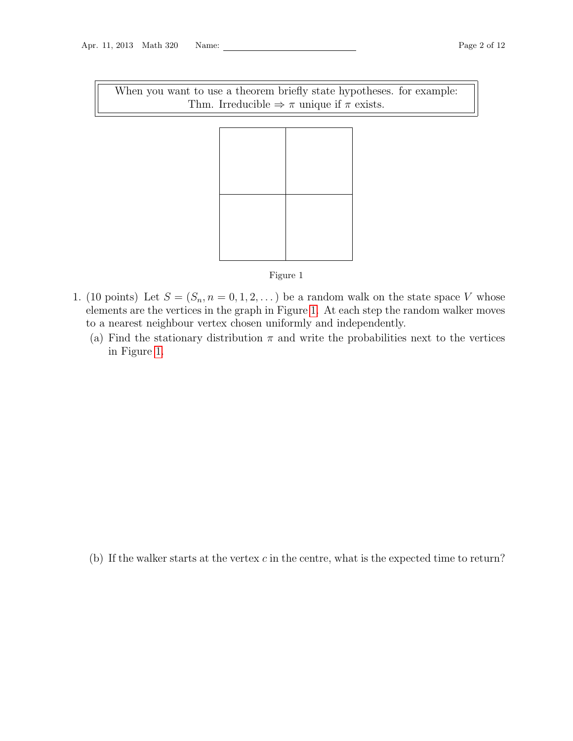When you want to use a theorem briefly state hypotheses. for example: Thm. Irreducible  $\Rightarrow \pi$  unique if  $\pi$  exists.



## <span id="page-1-1"></span>Figure 1

- <span id="page-1-0"></span>1. (10 points) Let  $S = (S_n, n = 0, 1, 2, ...)$  be a random walk on the state space V whose elements are the vertices in the graph in Figure [1.](#page-1-1) At each step the random walker moves to a nearest neighbour vertex chosen uniformly and independently.
	- (a) Find the stationary distribution  $\pi$  and write the probabilities next to the vertices in Figure [1.](#page-1-1)

(b) If the walker starts at the vertex  $c$  in the centre, what is the expected time to return?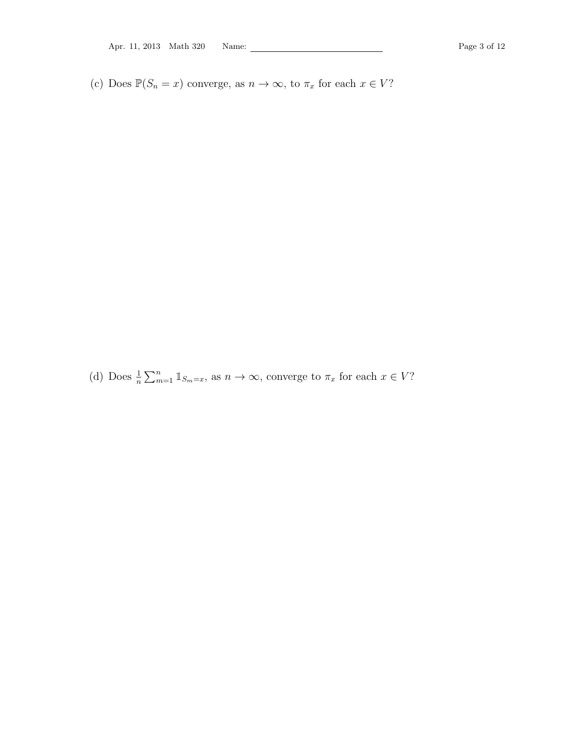(c) Does  $\mathbb{P}(S_n = x)$  converge, as  $n \to \infty$ , to  $\pi_x$  for each  $x \in V$ ?

(d) Does  $\frac{1}{n} \sum_{m=1}^{n} \mathbb{1}_{S_m=x}$ , as  $n \to \infty$ , converge to  $\pi_x$  for each  $x \in V$ ?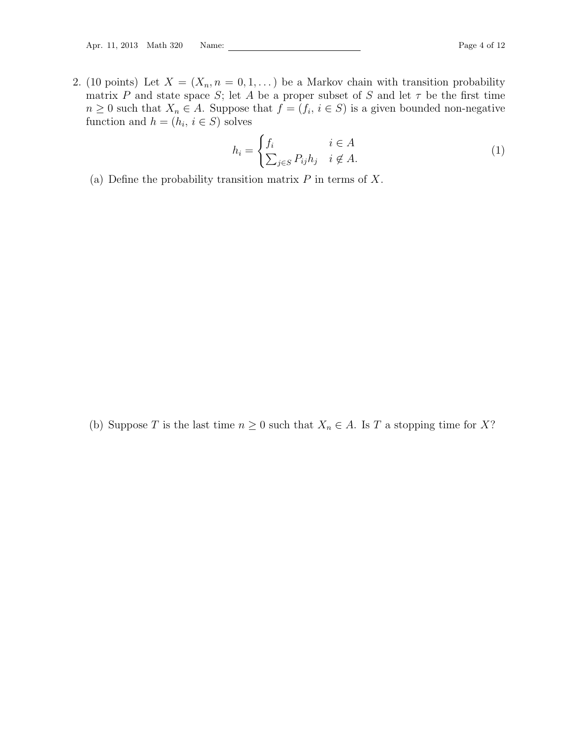<span id="page-3-0"></span>2. (10 points) Let  $X = (X_n, n = 0, 1, ...)$  be a Markov chain with transition probability matrix P and state space S; let A be a proper subset of S and let  $\tau$  be the first time  $n \geq 0$  such that  $X_n \in A$ . Suppose that  $f = (f_i, i \in S)$  is a given bounded non-negative function and  $h = (h_i, i \in S)$  solves

<span id="page-3-1"></span>
$$
h_i = \begin{cases} f_i & i \in A \\ \sum_{j \in S} P_{ij} h_j & i \notin A. \end{cases}
$$
 (1)

(a) Define the probability transition matrix  $P$  in terms of  $X$ .

(b) Suppose T is the last time  $n \geq 0$  such that  $X_n \in A$ . Is T a stopping time for X?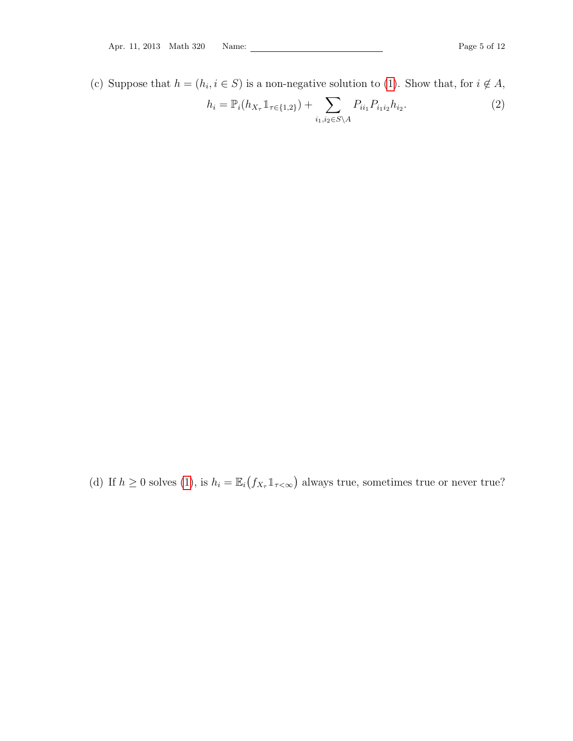(c) Suppose that  $h = (h_i, i \in S)$  is a non-negative solution to [\(1\)](#page-3-1). Show that, for  $i \notin A$ ,

$$
h_i = \mathbb{P}_i(h_{X_{\tau}} \mathbb{1}_{\tau \in \{1,2\}}) + \sum_{i_1, i_2 \in S \backslash A} P_{i i_1} P_{i_1 i_2} h_{i_2}.
$$
 (2)

(d) If  $h \geq 0$  solves [\(1\)](#page-3-1), is  $h_i = \mathbb{E}_i(f_{X_\tau} \mathbb{1}_{\tau < \infty})$  always true, sometimes true or never true?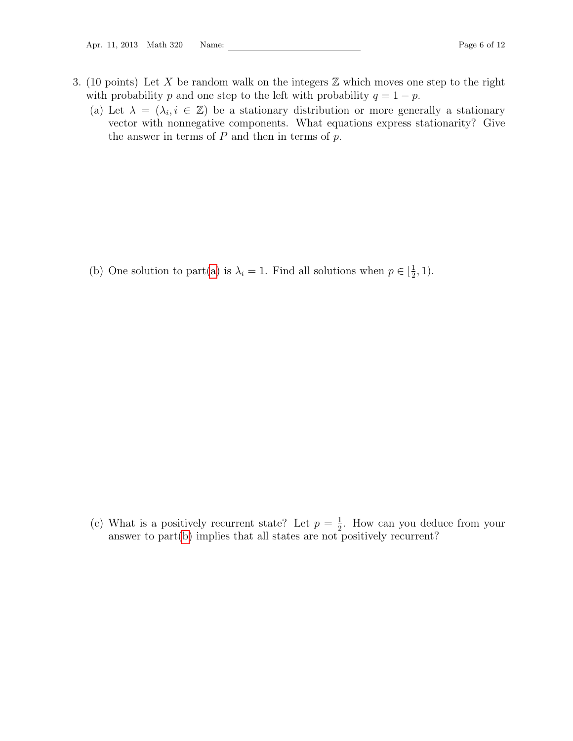- <span id="page-5-1"></span><span id="page-5-0"></span>3. (10 points) Let X be random walk on the integers  $\mathbb Z$  which moves one step to the right with probability p and one step to the left with probability  $q = 1 - p$ .
	- (a) Let  $\lambda = (\lambda_i, i \in \mathbb{Z})$  be a stationary distribution or more generally a stationary vector with nonnegative components. What equations express stationarity? Give the answer in terms of  $P$  and then in terms of  $p$ .

<span id="page-5-2"></span>(b) One solution to part[\(a\)](#page-5-1) is  $\lambda_i = 1$ . Find all solutions when  $p \in \left[\frac{1}{2}\right]$  $(\frac{1}{2}, 1).$ 

(c) What is a positively recurrent state? Let  $p = \frac{1}{2}$  $\frac{1}{2}$ . How can you deduce from your answer to part[\(b\)](#page-5-2) implies that all states are not positively recurrent?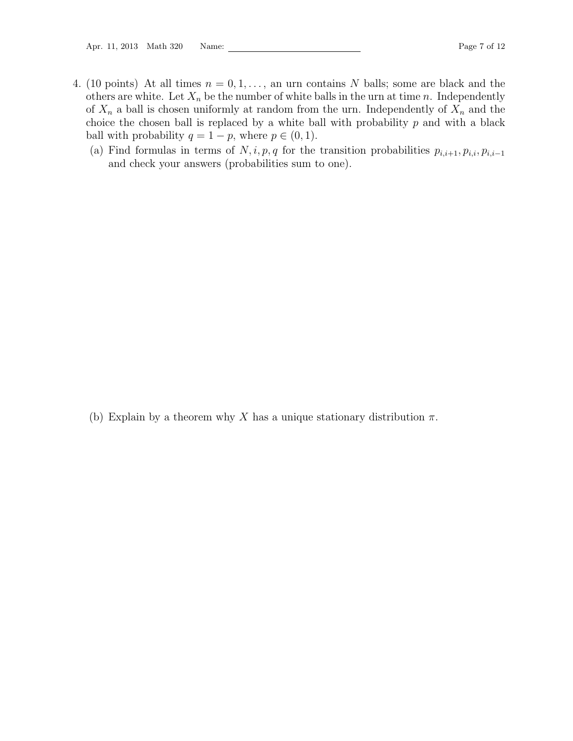- <span id="page-6-0"></span>4. (10 points) At all times  $n = 0, 1, \ldots$ , an urn contains N balls; some are black and the others are white. Let  $X_n$  be the number of white balls in the urn at time n. Independently of  $X_n$  a ball is chosen uniformly at random from the urn. Independently of  $X_n$  and the choice the chosen ball is replaced by a white ball with probability  $p$  and with a black ball with probability  $q = 1 - p$ , where  $p \in (0, 1)$ .
	- (a) Find formulas in terms of  $N, i, p, q$  for the transition probabilities  $p_{i,i+1}, p_{i,i}, p_{i,i-1}$ and check your answers (probabilities sum to one).

(b) Explain by a theorem why X has a unique stationary distribution  $\pi$ .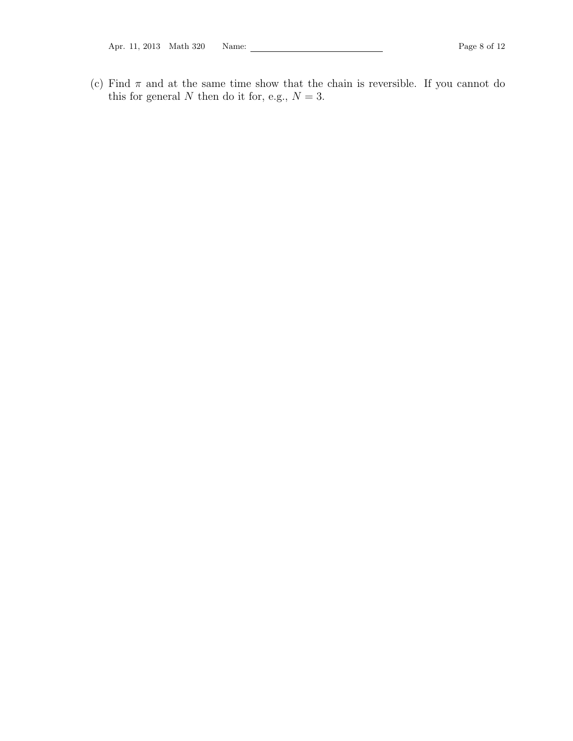Apr. 11, 2013 Math 320 Name: 2008 Math 320 Name: 2008 Page 8 of 12

(c) Find  $\pi$  and at the same time show that the chain is reversible. If you cannot do this for general  $N$  then do it for, e.g.,  $N = 3$ .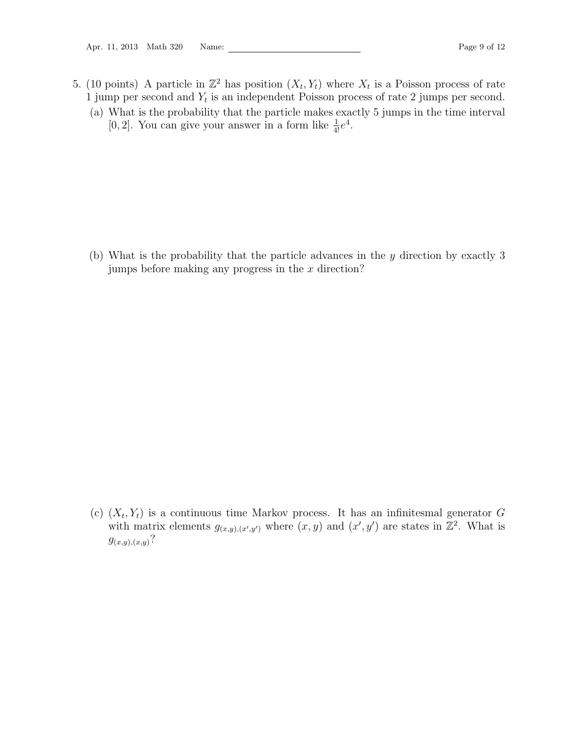- <span id="page-8-0"></span>5. (10 points) A particle in  $\mathbb{Z}^2$  has position  $(X_t, Y_t)$  where  $X_t$  is a Poisson process of rate 1 jump per second and  $Y_t$  is an independent Poisson process of rate 2 jumps per second.
	- (a) What is the probability that the particle makes exactly 5 jumps in the time interval [0, 2]. You can give your answer in a form like  $\frac{1}{4!}e^4$ .

(b) What is the probability that the particle advances in the y direction by exactly 3 jumps before making any progress in the  $x$  direction?

(c)  $(X_t, Y_t)$  is a continuous time Markov process. It has an infinitesmal generator G with matrix elements  $g_{(x,y),(x',y')}$  where  $(x, y)$  and  $(x', y')$  are states in  $\mathbb{Z}^2$ . What is  $g_{(x,y),(x,y)}$ ?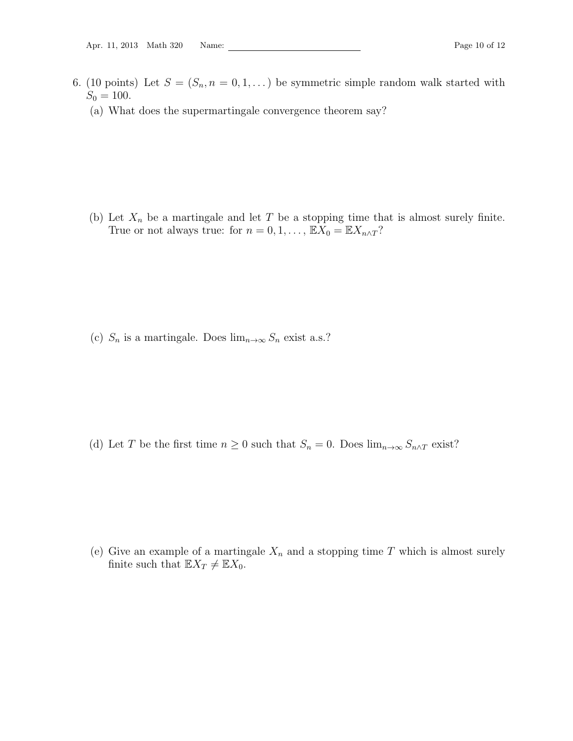- <span id="page-9-0"></span>6. (10 points) Let  $S = (S_n, n = 0, 1, ...)$  be symmetric simple random walk started with  $S_0 = 100.$ 
	- (a) What does the supermartingale convergence theorem say?

(b) Let  $X_n$  be a martingale and let T be a stopping time that is almost surely finite. True or not always true: for  $n = 0, 1, \ldots, E X_0 = E X_{n \wedge T}$ ?

(c)  $S_n$  is a martingale. Does  $\lim_{n\to\infty} S_n$  exist a.s.?

(d) Let T be the first time  $n \geq 0$  such that  $S_n = 0$ . Does  $\lim_{n \to \infty} S_{n \wedge T}$  exist?

(e) Give an example of a martingale  $X_n$  and a stopping time T which is almost surely finite such that  $\mathbb{E}X_T \neq \mathbb{E}X_0$ .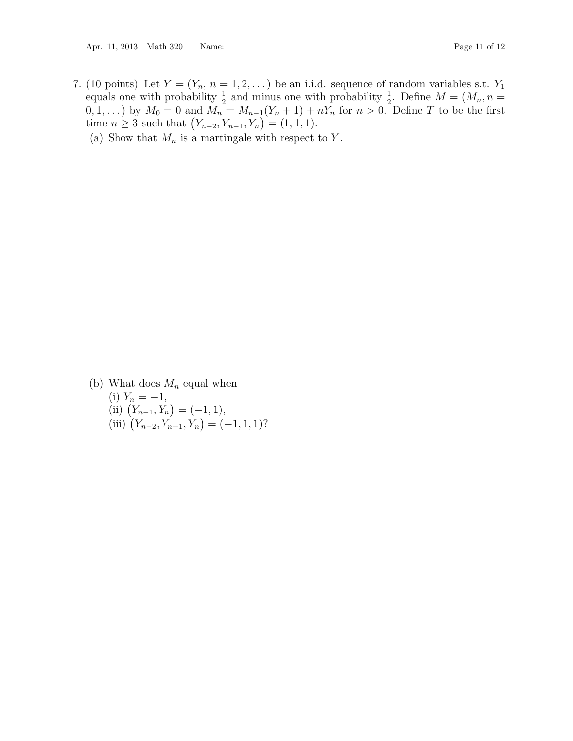- <span id="page-10-0"></span>7. (10 points) Let  $Y = (Y_n, n = 1, 2, ...)$  be an i.i.d. sequence of random variables s.t.  $Y_1$ equals one with probability  $\frac{1}{2}$  and minus one with probability  $\frac{1}{2}$ . Define  $M = (M_n, n =$  $(0, 1, \ldots)$  by  $M_0 = 0$  and  $M_n = M_{n-1}(Y_n + 1) + nY_n$  for  $n > 0$ . Define T to be the first time  $n \geq 3$  such that  $(Y_{n-2}, Y_{n-1}, Y_n) = (1, 1, 1).$ 
	- (a) Show that  $M_n$  is a martingale with respect to Y.

(b) What does  $M_n$  equal when (i)  $Y_n = -1$ , (ii)  $(Y_{n-1}, Y_n) = (-1, 1),$ (iii)  $(Y_{n-2}, Y_{n-1}, Y_n) = (-1, 1, 1)?$